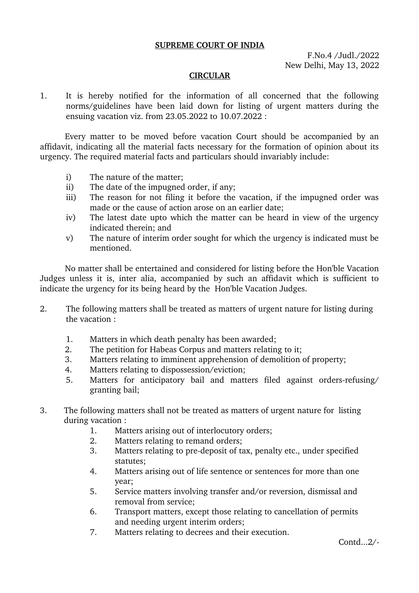## **SUPREME COURT OF INDIA**

F.No.4 /Judl./2022 New Delhi, May 13, 2022

## **CIRCULAR**

1. It is hereby notified for the information of all concerned that the following norms/guidelines have been laid down for listing of urgent matters during the ensuing vacation viz. from 23.05.2022 to 10.07.2022 :

Every matter to be moved before vacation Court should be accompanied by an affidavit, indicating all the material facts necessary for the formation of opinion about its urgency. The required material facts and particulars should invariably include:

- i) The nature of the matter;
- ii) The date of the impugned order, if any;
- iii) The reason for not filing it before the vacation, if the impugned order was made or the cause of action arose on an earlier date;
- iv) The latest date upto which the matter can be heard in view of the urgency indicated therein; and
- v) The nature of interim order sought for which the urgency is indicated must be mentioned.

No matter shall be entertained and considered for listing before the Hon'ble Vacation Judges unless it is, inter alia, accompanied by such an affidavit which is sufficient to indicate the urgency for its being heard by the Hon'ble Vacation Judges.

- 2. The following matters shall be treated as matters of urgent nature for listing during the vacation :
	- 1. Matters in which death penalty has been awarded;
	- 2. The petition for Habeas Corpus and matters relating to it;
	- 3. Matters relating to imminent apprehension of demolition of property;
	- 4. Matters relating to dispossession/eviction;
	- 5. Matters for anticipatory bail and matters filed against orders-refusing/ granting bail;
- 3. The following matters shall not be treated as matters of urgent nature for listing during vacation :
	- 1. Matters arising out of interlocutory orders;
	- 2. Matters relating to remand orders;
	- 3. Matters relating to pre-deposit of tax, penalty etc., under specified statutes;
	- 4. Matters arising out of life sentence or sentences for more than one year;
	- 5. Service matters involving transfer and/or reversion, dismissal and removal from service;
	- 6. Transport matters, except those relating to cancellation of permits and needing urgent interim orders;
	- 7. Matters relating to decrees and their execution.